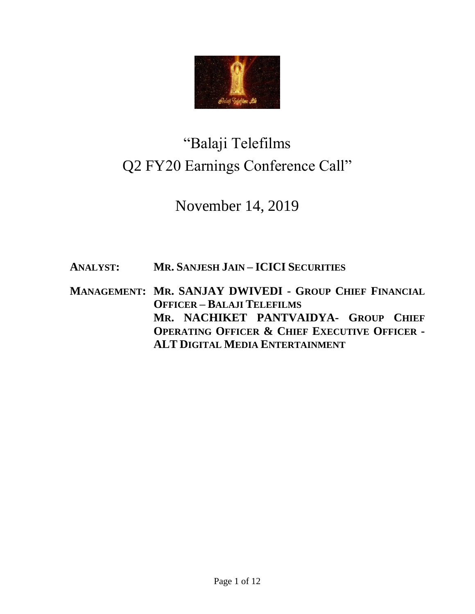

# "Balaji Telefilms Q2 FY20 Earnings Conference Call"

November 14, 2019

**ANALYST: MR. SANJESH JAIN – ICICI SECURITIES** 

**MANAGEMENT: MR. SANJAY DWIVEDI - GROUP CHIEF FINANCIAL OFFICER – BALAJI TELEFILMS MR. NACHIKET PANTVAIDYA- GROUP CHIEF OPERATING OFFICER & CHIEF EXECUTIVE OFFICER - ALT DIGITAL MEDIA ENTERTAINMENT**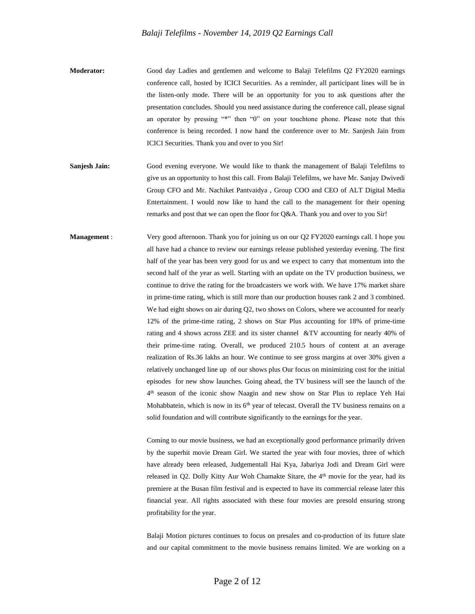- **Moderator:** Good day Ladies and gentlemen and welcome to Balaji Telefilms Q2 FY2020 earnings conference call, hosted by ICICI Securities. As a reminder, all participant lines will be in the listen-only mode. There will be an opportunity for you to ask questions after the presentation concludes. Should you need assistance during the conference call, please signal an operator by pressing "\*" then "0" on your touchtone phone. Please note that this conference is being recorded. I now hand the conference over to Mr. Sanjesh Jain from ICICI Securities. Thank you and over to you Sir!
- **Sanjesh Jain:** Good evening everyone. We would like to thank the management of Balaji Telefilms to give us an opportunity to host this call. From Balaji Telefilms, we have Mr. Sanjay Dwivedi Group CFO and Mr. Nachiket Pantvaidya , Group COO and CEO of ALT Digital Media Entertainment. I would now like to hand the call to the management for their opening remarks and post that we can open the floor for Q&A. Thank you and over to you Sir!
- **Management** : Very good afternoon. Thank you for joining us on our Q2 FY2020 earnings call. I hope you all have had a chance to review our earnings release published yesterday evening. The first half of the year has been very good for us and we expect to carry that momentum into the second half of the year as well. Starting with an update on the TV production business, we continue to drive the rating for the broadcasters we work with. We have 17% market share in prime-time rating, which is still more than our production houses rank 2 and 3 combined. We had eight shows on air during Q2, two shows on Colors, where we accounted for nearly 12% of the prime-time rating, 2 shows on Star Plus accounting for 18% of prime-time rating and 4 shows across ZEE and its sister channel &TV accounting for nearly 40% of their prime-time rating. Overall, we produced 210.5 hours of content at an average realization of Rs.36 lakhs an hour. We continue to see gross margins at over 30% given a relatively unchanged line up of our shows plus Our focus on minimizing cost for the initial episodes for new show launches. Going ahead, the TV business will see the launch of the 4 th season of the iconic show Naagin and new show on Star Plus to replace Yeh Hai Mohabbatein, which is now in its  $6<sup>th</sup>$  year of telecast. Overall the TV business remains on a solid foundation and will contribute significantly to the earnings for the year.

Coming to our movie business, we had an exceptionally good performance primarily driven by the superhit movie Dream Girl. We started the year with four movies, three of which have already been released, Judgementall Hai Kya, Jabariya Jodi and Dream Girl were released in Q2. Dolly Kitty Aur Woh Chamakte Sitare, the  $4<sup>th</sup>$  movie for the year, had its premiere at the Busan film festival and is expected to have its commercial release later this financial year. All rights associated with these four movies are presold ensuring strong profitability for the year.

Balaji Motion pictures continues to focus on presales and co-production of its future slate and our capital commitment to the movie business remains limited. We are working on a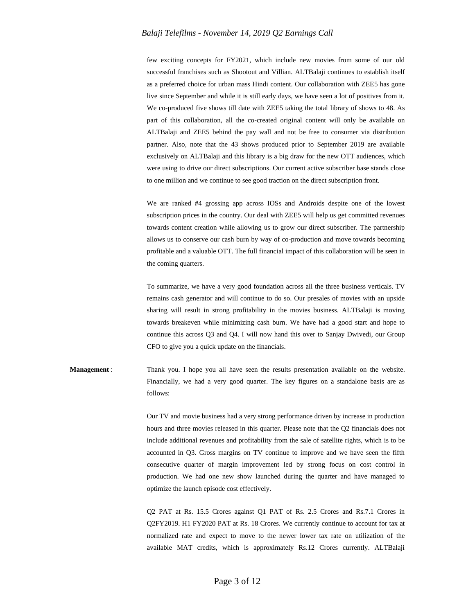few exciting concepts for FY2021, which include new movies from some of our old successful franchises such as Shootout and Villian. ALTBalaji continues to establish itself as a preferred choice for urban mass Hindi content. Our collaboration with ZEE5 has gone live since September and while it is still early days, we have seen a lot of positives from it. We co-produced five shows till date with ZEE5 taking the total library of shows to 48. As part of this collaboration, all the co-created original content will only be available on ALTBalaji and ZEE5 behind the pay wall and not be free to consumer via distribution partner. Also, note that the 43 shows produced prior to September 2019 are available exclusively on ALTBalaji and this library is a big draw for the new OTT audiences, which were using to drive our direct subscriptions. Our current active subscriber base stands close to one million and we continue to see good traction on the direct subscription front.

We are ranked #4 grossing app across IOSs and Androids despite one of the lowest subscription prices in the country. Our deal with ZEE5 will help us get committed revenues towards content creation while allowing us to grow our direct subscriber. The partnership allows us to conserve our cash burn by way of co-production and move towards becoming profitable and a valuable OTT. The full financial impact of this collaboration will be seen in the coming quarters.

To summarize, we have a very good foundation across all the three business verticals. TV remains cash generator and will continue to do so. Our presales of movies with an upside sharing will result in strong profitability in the movies business. ALTBalaji is moving towards breakeven while minimizing cash burn. We have had a good start and hope to continue this across Q3 and Q4. I will now hand this over to Sanjay Dwivedi, our Group CFO to give you a quick update on the financials.

**Management** : Thank you. I hope you all have seen the results presentation available on the website. Financially, we had a very good quarter. The key figures on a standalone basis are as follows:

> Our TV and movie business had a very strong performance driven by increase in production hours and three movies released in this quarter. Please note that the Q2 financials does not include additional revenues and profitability from the sale of satellite rights, which is to be accounted in Q3. Gross margins on TV continue to improve and we have seen the fifth consecutive quarter of margin improvement led by strong focus on cost control in production. We had one new show launched during the quarter and have managed to optimize the launch episode cost effectively.

> Q2 PAT at Rs. 15.5 Crores against Q1 PAT of Rs. 2.5 Crores and Rs.7.1 Crores in Q2FY2019. H1 FY2020 PAT at Rs. 18 Crores. We currently continue to account for tax at normalized rate and expect to move to the newer lower tax rate on utilization of the available MAT credits, which is approximately Rs.12 Crores currently. ALTBalaji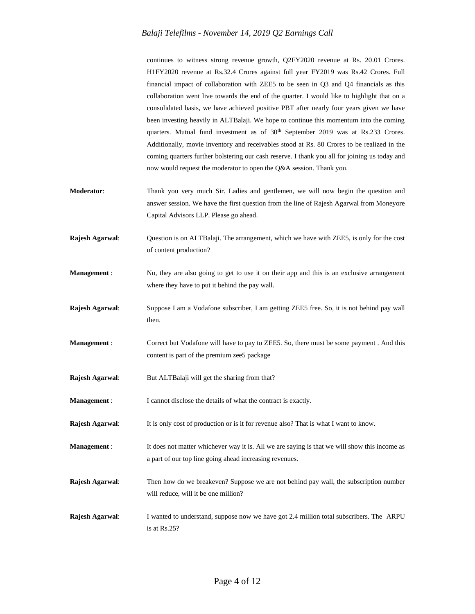continues to witness strong revenue growth, Q2FY2020 revenue at Rs. 20.01 Crores. H1FY2020 revenue at Rs.32.4 Crores against full year FY2019 was Rs.42 Crores. Full financial impact of collaboration with ZEE5 to be seen in Q3 and Q4 financials as this collaboration went live towards the end of the quarter. I would like to highlight that on a consolidated basis, we have achieved positive PBT after nearly four years given we have been investing heavily in ALTBalaji. We hope to continue this momentum into the coming quarters. Mutual fund investment as of 30<sup>th</sup> September 2019 was at Rs.233 Crores. Additionally, movie inventory and receivables stood at Rs. 80 Crores to be realized in the coming quarters further bolstering our cash reserve. I thank you all for joining us today and now would request the moderator to open the Q&A session. Thank you.

- **Moderator**: Thank you very much Sir. Ladies and gentlemen, we will now begin the question and answer session. We have the first question from the line of Rajesh Agarwal from Moneyore Capital Advisors LLP. Please go ahead.
- **Rajesh Agarwal**: Question is on ALTBalaji. The arrangement, which we have with ZEE5, is only for the cost of content production?
- **Management** : No, they are also going to get to use it on their app and this is an exclusive arrangement where they have to put it behind the pay wall.
- **Rajesh Agarwal**: Suppose I am a Vodafone subscriber, I am getting ZEE5 free. So, it is not behind pay wall then.
- **Management** : Correct but Vodafone will have to pay to ZEE5. So, there must be some payment . And this content is part of the premium zee5 package
- **Rajesh Agarwal:** But ALTBalaji will get the sharing from that?
- **Management :** I cannot disclose the details of what the contract is exactly.
- **Rajesh Agarwal:** It is only cost of production or is it for revenue also? That is what I want to know.
- **Management** : It does not matter whichever way it is. All we are saying is that we will show this income as a part of our top line going ahead increasing revenues.
- **Rajesh Agarwal**: Then how do we breakeven? Suppose we are not behind pay wall, the subscription number will reduce, will it be one million?
- **Rajesh Agarwal:** I wanted to understand, suppose now we have got 2.4 million total subscribers. The ARPU is at Rs.25?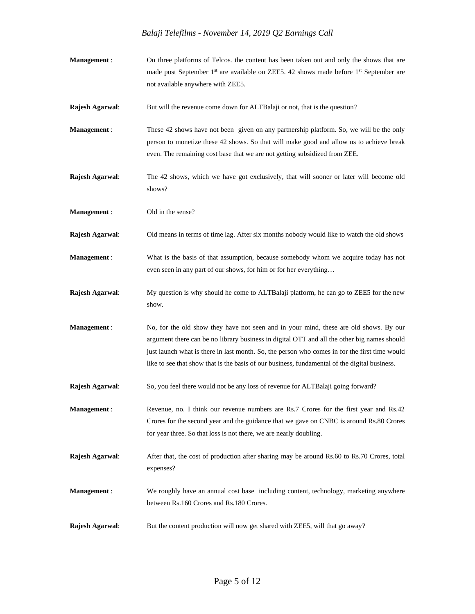| Management:         | On three platforms of Telcos, the content has been taken out and only the shows that are<br>made post September 1 <sup>st</sup> are available on ZEE5. 42 shows made before 1 <sup>st</sup> September are<br>not available anywhere with ZEE5.                                                                                                                                         |
|---------------------|----------------------------------------------------------------------------------------------------------------------------------------------------------------------------------------------------------------------------------------------------------------------------------------------------------------------------------------------------------------------------------------|
| Rajesh Agarwal:     | But will the revenue come down for ALTBalaji or not, that is the question?                                                                                                                                                                                                                                                                                                             |
| Management:         | These 42 shows have not been given on any partnership platform. So, we will be the only<br>person to monetize these 42 shows. So that will make good and allow us to achieve break<br>even. The remaining cost base that we are not getting subsidized from ZEE.                                                                                                                       |
| Rajesh Agarwal:     | The 42 shows, which we have got exclusively, that will sooner or later will become old<br>shows?                                                                                                                                                                                                                                                                                       |
| Management:         | Old in the sense?                                                                                                                                                                                                                                                                                                                                                                      |
| Rajesh Agarwal:     | Old means in terms of time lag. After six months nobody would like to watch the old shows                                                                                                                                                                                                                                                                                              |
| <b>Management</b> : | What is the basis of that assumption, because somebody whom we acquire today has not<br>even seen in any part of our shows, for him or for her everything                                                                                                                                                                                                                              |
| Rajesh Agarwal:     | My question is why should he come to ALTBalaji platform, he can go to ZEE5 for the new<br>show.                                                                                                                                                                                                                                                                                        |
| <b>Management</b> : | No, for the old show they have not seen and in your mind, these are old shows. By our<br>argument there can be no library business in digital OTT and all the other big names should<br>just launch what is there in last month. So, the person who comes in for the first time would<br>like to see that show that is the basis of our business, fundamental of the digital business. |
| Rajesh Agarwal:     | So, you feel there would not be any loss of revenue for ALTBalaji going forward?                                                                                                                                                                                                                                                                                                       |
| Management:         | Revenue, no. I think our revenue numbers are Rs.7 Crores for the first year and Rs.42<br>Crores for the second year and the guidance that we gave on CNBC is around Rs.80 Crores<br>for year three. So that loss is not there, we are nearly doubling.                                                                                                                                 |
| Rajesh Agarwal:     | After that, the cost of production after sharing may be around Rs.60 to Rs.70 Crores, total<br>expenses?                                                                                                                                                                                                                                                                               |
| <b>Management</b> : | We roughly have an annual cost base including content, technology, marketing anywhere<br>between Rs.160 Crores and Rs.180 Crores.                                                                                                                                                                                                                                                      |
| Rajesh Agarwal:     | But the content production will now get shared with ZEE5, will that go away?                                                                                                                                                                                                                                                                                                           |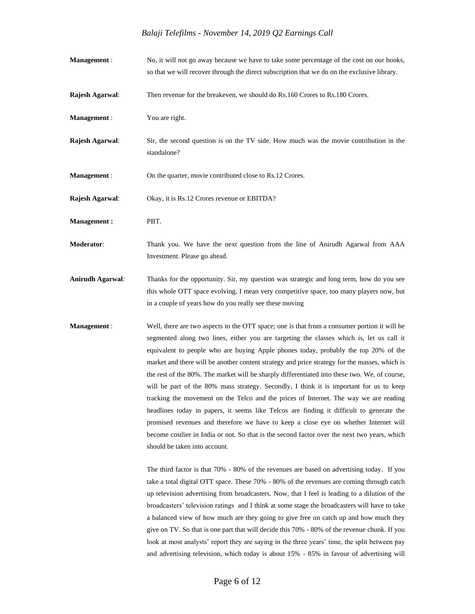- **Management** : No, it will not go away because we have to take some percentage of the cost on our books, so that we will recover through the direct subscription that we do on the exclusive library.
- **Rajesh Agarwal:** Then revenue for the breakeven, we should do Rs.160 Crores to Rs.180 Crores.

**Management** : You are right.

**Rajesh Agarwal**: Sir, the second question is on the TV side. How much was the movie contribution in the standalone?

**Management :** On the quarter, movie contributed close to Rs.12 Crores.

- **Rajesh Agarwal**: Okay, it is Rs.12 Crores revenue or EBITDA?
- **Management :** PBT.

**Moderator**: Thank you. We have the next question from the line of Anirudh Agarwal from AAA Investment. Please go ahead.

- **Anirudh Agarwal**: Thanks for the opportunity. Sir, my question was strategic and long term, how do you see this whole OTT space evolving, I mean very competitive space, too many players now, but in a couple of years how do you really see these moving
- **Management** : Well, there are two aspects to the OTT space; one is that from a consumer portion it will be segmented along two lines, either you are targeting the classes which is, let us call it equivalent to people who are buying Apple phones today, probably the top 20% of the market and there will be another content strategy and price strategy for the masses, which is the rest of the 80%. The market will be sharply differentiated into these two. We, of course, will be part of the 80% mass strategy. Secondly, I think it is important for us to keep tracking the movement on the Telco and the prices of Internet. The way we are reading headlines today in papers, it seems like Telcos are finding it difficult to generate the promised revenues and therefore we have to keep a close eye on whether Internet will become costlier in India or not. So that is the second factor over the next two years, which should be taken into account.

The third factor is that 70% - 80% of the revenues are based on advertising today. If you take a total digital OTT space. These 70% - 80% of the revenues are coming through catch up television advertising from broadcasters. Now, that I feel is leading to a dilution of the broadcasters' television ratings and I think at some stage the broadcasters will have to take a balanced view of how much are they going to give free on catch up and how much they give on TV. So that is one part that will decide this 70% - 80% of the revenue chunk. If you look at most analysts' report they are saying in the three years' time, the split between pay and advertising television, which today is about 15% - 85% in favour of advertising will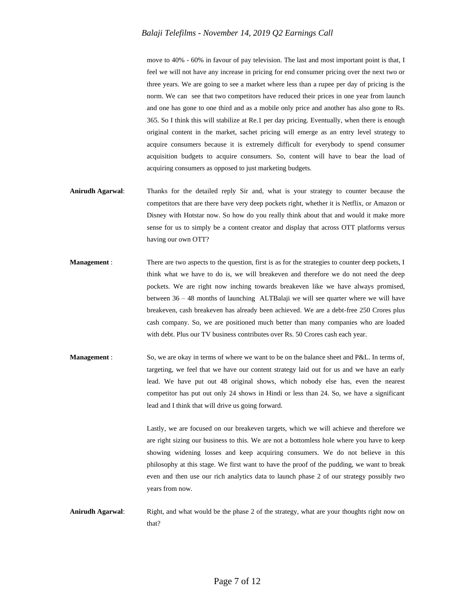move to 40% - 60% in favour of pay television. The last and most important point is that, I feel we will not have any increase in pricing for end consumer pricing over the next two or three years. We are going to see a market where less than a rupee per day of pricing is the norm. We can see that two competitors have reduced their prices in one year from launch and one has gone to one third and as a mobile only price and another has also gone to Rs. 365. So I think this will stabilize at Re.1 per day pricing. Eventually, when there is enough original content in the market, sachet pricing will emerge as an entry level strategy to acquire consumers because it is extremely difficult for everybody to spend consumer acquisition budgets to acquire consumers. So, content will have to bear the load of acquiring consumers as opposed to just marketing budgets.

- **Anirudh Agarwal**: Thanks for the detailed reply Sir and, what is your strategy to counter because the competitors that are there have very deep pockets right, whether it is Netflix, or Amazon or Disney with Hotstar now. So how do you really think about that and would it make more sense for us to simply be a content creator and display that across OTT platforms versus having our own OTT?
- **Management :** There are two aspects to the question, first is as for the strategies to counter deep pockets, I think what we have to do is, we will breakeven and therefore we do not need the deep pockets. We are right now inching towards breakeven like we have always promised, between 36 – 48 months of launching ALTBalaji we will see quarter where we will have breakeven, cash breakeven has already been achieved. We are a debt-free 250 Crores plus cash company. So, we are positioned much better than many companies who are loaded with debt. Plus our TV business contributes over Rs. 50 Crores cash each year.
- **Management** : So, we are okay in terms of where we want to be on the balance sheet and P&L. In terms of, targeting, we feel that we have our content strategy laid out for us and we have an early lead. We have put out 48 original shows, which nobody else has, even the nearest competitor has put out only 24 shows in Hindi or less than 24. So, we have a significant lead and I think that will drive us going forward.

Lastly, we are focused on our breakeven targets, which we will achieve and therefore we are right sizing our business to this. We are not a bottomless hole where you have to keep showing widening losses and keep acquiring consumers. We do not believe in this philosophy at this stage. We first want to have the proof of the pudding, we want to break even and then use our rich analytics data to launch phase 2 of our strategy possibly two years from now.

**Anirudh Agarwal**: Right, and what would be the phase 2 of the strategy, what are your thoughts right now on that?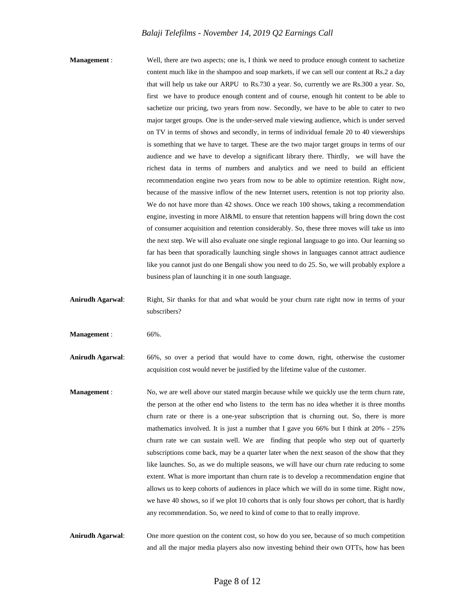**Management :** Well, there are two aspects; one is, I think we need to produce enough content to sachetize content much like in the shampoo and soap markets, if we can sell our content at Rs.2 a day that will help us take our ARPU to Rs.730 a year. So, currently we are Rs.300 a year. So, first we have to produce enough content and of course, enough hit content to be able to sachetize our pricing, two years from now. Secondly, we have to be able to cater to two major target groups. One is the under-served male viewing audience, which is under served on TV in terms of shows and secondly, in terms of individual female 20 to 40 viewerships is something that we have to target. These are the two major target groups in terms of our audience and we have to develop a significant library there. Thirdly, we will have the richest data in terms of numbers and analytics and we need to build an efficient recommendation engine two years from now to be able to optimize retention. Right now, because of the massive inflow of the new Internet users, retention is not top priority also. We do not have more than 42 shows. Once we reach 100 shows, taking a recommendation engine, investing in more AI&ML to ensure that retention happens will bring down the cost of consumer acquisition and retention considerably. So, these three moves will take us into the next step. We will also evaluate one single regional language to go into. Our learning so far has been that sporadically launching single shows in languages cannot attract audience like you cannot just do one Bengali show you need to do 25. So, we will probably explore a business plan of launching it in one south language.

Anirudh Agarwal: Right, Sir thanks for that and what would be your churn rate right now in terms of your subscribers?

**Management :** 66%.

**Anirudh Agarwal**: 66%, so over a period that would have to come down, right, otherwise the customer acquisition cost would never be justified by the lifetime value of the customer.

**Management** : No, we are well above our stated margin because while we quickly use the term churn rate, the person at the other end who listens to the term has no idea whether it is three months churn rate or there is a one-year subscription that is churning out. So, there is more mathematics involved. It is just a number that I gave you 66% but I think at 20% - 25% churn rate we can sustain well. We are finding that people who step out of quarterly subscriptions come back, may be a quarter later when the next season of the show that they like launches. So, as we do multiple seasons, we will have our churn rate reducing to some extent. What is more important than churn rate is to develop a recommendation engine that allows us to keep cohorts of audiences in place which we will do in some time. Right now, we have 40 shows, so if we plot 10 cohorts that is only four shows per cohort, that is hardly any recommendation. So, we need to kind of come to that to really improve.

**Anirudh Agarwal**: One more question on the content cost, so how do you see, because of so much competition and all the major media players also now investing behind their own OTTs, how has been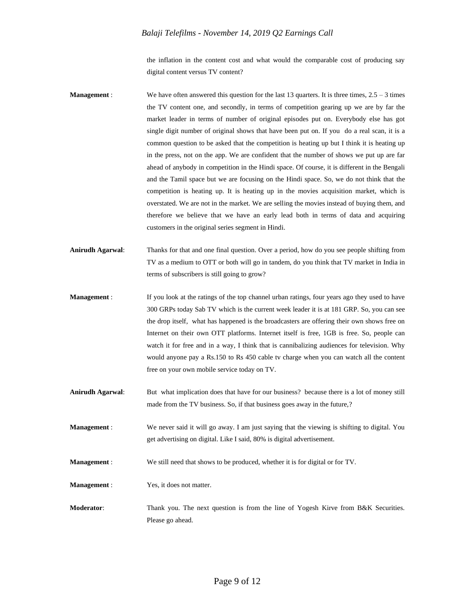the inflation in the content cost and what would the comparable cost of producing say digital content versus TV content?

- **Management :** We have often answered this question for the last 13 quarters. It is three times, 2.5 3 times the TV content one, and secondly, in terms of competition gearing up we are by far the market leader in terms of number of original episodes put on. Everybody else has got single digit number of original shows that have been put on. If you do a real scan, it is a common question to be asked that the competition is heating up but I think it is heating up in the press, not on the app. We are confident that the number of shows we put up are far ahead of anybody in competition in the Hindi space. Of course, it is different in the Bengali and the Tamil space but we are focusing on the Hindi space. So, we do not think that the competition is heating up. It is heating up in the movies acquisition market, which is overstated. We are not in the market. We are selling the movies instead of buying them, and therefore we believe that we have an early lead both in terms of data and acquiring customers in the original series segment in Hindi.
- **Anirudh Agarwal**: Thanks for that and one final question. Over a period, how do you see people shifting from TV as a medium to OTT or both will go in tandem, do you think that TV market in India in terms of subscribers is still going to grow?
- **Management :** If you look at the ratings of the top channel urban ratings, four years ago they used to have 300 GRPs today Sab TV which is the current week leader it is at 181 GRP. So, you can see the drop itself, what has happened is the broadcasters are offering their own shows free on Internet on their own OTT platforms. Internet itself is free, 1GB is free. So, people can watch it for free and in a way, I think that is cannibalizing audiences for television. Why would anyone pay a Rs.150 to Rs 450 cable tv charge when you can watch all the content free on your own mobile service today on TV.
- **Anirudh Agarwal**: But what implication does that have for our business? because there is a lot of money still made from the TV business. So, if that business goes away in the future,?
- **Management** : We never said it will go away. I am just saying that the viewing is shifting to digital. You get advertising on digital. Like I said, 80% is digital advertisement.
- **Management** : We still need that shows to be produced, whether it is for digital or for TV.
- **Management :** Yes, it does not matter.
- **Moderator:** Thank you. The next question is from the line of Yogesh Kirve from B&K Securities. Please go ahead.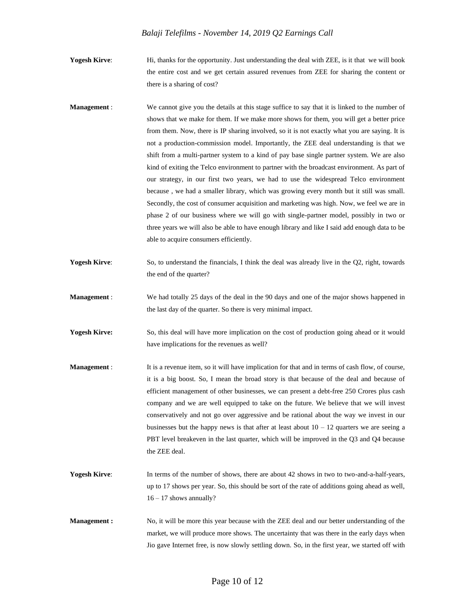**Yogesh Kirve**: Hi, thanks for the opportunity. Just understanding the deal with ZEE, is it that we will book the entire cost and we get certain assured revenues from ZEE for sharing the content or there is a sharing of cost?

- **Management :** We cannot give you the details at this stage suffice to say that it is linked to the number of shows that we make for them. If we make more shows for them, you will get a better price from them. Now, there is IP sharing involved, so it is not exactly what you are saying. It is not a production-commission model. Importantly, the ZEE deal understanding is that we shift from a multi-partner system to a kind of pay base single partner system. We are also kind of exiting the Telco environment to partner with the broadcast environment. As part of our strategy, in our first two years, we had to use the widespread Telco environment because , we had a smaller library, which was growing every month but it still was small. Secondly, the cost of consumer acquisition and marketing was high. Now, we feel we are in phase 2 of our business where we will go with single-partner model, possibly in two or three years we will also be able to have enough library and like I said add enough data to be able to acquire consumers efficiently.
- **Yogesh Kirve:** So, to understand the financials, I think the deal was already live in the Q2, right, towards the end of the quarter?
- **Management** : We had totally 25 days of the deal in the 90 days and one of the major shows happened in the last day of the quarter. So there is very minimal impact.
- **Yogesh Kirve:** So, this deal will have more implication on the cost of production going ahead or it would have implications for the revenues as well?
- **Management :** It is a revenue item, so it will have implication for that and in terms of cash flow, of course, it is a big boost. So, I mean the broad story is that because of the deal and because of efficient management of other businesses, we can present a debt-free 250 Crores plus cash company and we are well equipped to take on the future. We believe that we will invest conservatively and not go over aggressive and be rational about the way we invest in our businesses but the happy news is that after at least about  $10 - 12$  quarters we are seeing a PBT level breakeven in the last quarter, which will be improved in the Q3 and Q4 because the ZEE deal.
- **Yogesh Kirve:** In terms of the number of shows, there are about 42 shows in two to two-and-a-half-years, up to 17 shows per year. So, this should be sort of the rate of additions going ahead as well, 16 – 17 shows annually?
- **Management :** No, it will be more this year because with the ZEE deal and our better understanding of the market, we will produce more shows. The uncertainty that was there in the early days when Jio gave Internet free, is now slowly settling down. So, in the first year, we started off with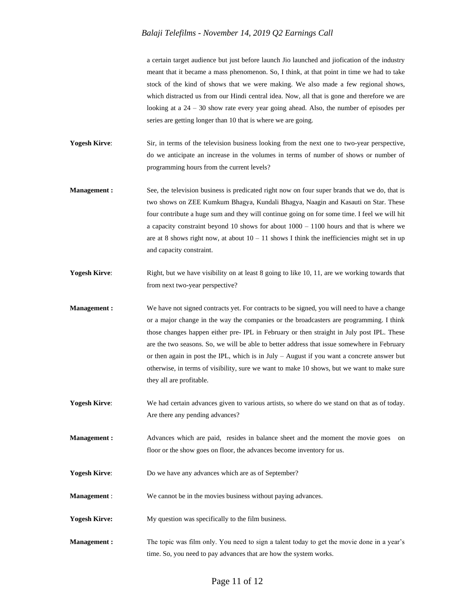a certain target audience but just before launch Jio launched and jiofication of the industry meant that it became a mass phenomenon. So, I think, at that point in time we had to take stock of the kind of shows that we were making. We also made a few regional shows, which distracted us from our Hindi central idea. Now, all that is gone and therefore we are looking at a  $24 - 30$  show rate every year going ahead. Also, the number of episodes per series are getting longer than 10 that is where we are going.

**Yogesh Kirve:** Sir, in terms of the television business looking from the next one to two-year perspective, do we anticipate an increase in the volumes in terms of number of shows or number of programming hours from the current levels?

- **Management :** See, the television business is predicated right now on four super brands that we do, that is two shows on ZEE Kumkum Bhagya, Kundali Bhagya, Naagin and Kasauti on Star. These four contribute a huge sum and they will continue going on for some time. I feel we will hit a capacity constraint beyond 10 shows for about 1000 – 1100 hours and that is where we are at 8 shows right now, at about  $10 - 11$  shows I think the inefficiencies might set in up and capacity constraint.
- **Yogesh Kirve:** Right, but we have visibility on at least 8 going to like 10, 11, are we working towards that from next two-year perspective?
- **Management :** We have not signed contracts yet. For contracts to be signed, you will need to have a change or a major change in the way the companies or the broadcasters are programming. I think those changes happen either pre- IPL in February or then straight in July post IPL. These are the two seasons. So, we will be able to better address that issue somewhere in February or then again in post the IPL, which is in July – August if you want a concrete answer but otherwise, in terms of visibility, sure we want to make 10 shows, but we want to make sure they all are profitable.
- **Yogesh Kirve:** We had certain advances given to various artists, so where do we stand on that as of today. Are there any pending advances?
- **Management :** Advances which are paid, resides in balance sheet and the moment the movie goes on floor or the show goes on floor, the advances become inventory for us.
- **Yogesh Kirve**: Do we have any advances which are as of September?
- **Management :** We cannot be in the movies business without paying advances.
- **Yogesh Kirve:** My question was specifically to the film business.
- **Management :** The topic was film only. You need to sign a talent today to get the movie done in a year's time. So, you need to pay advances that are how the system works.